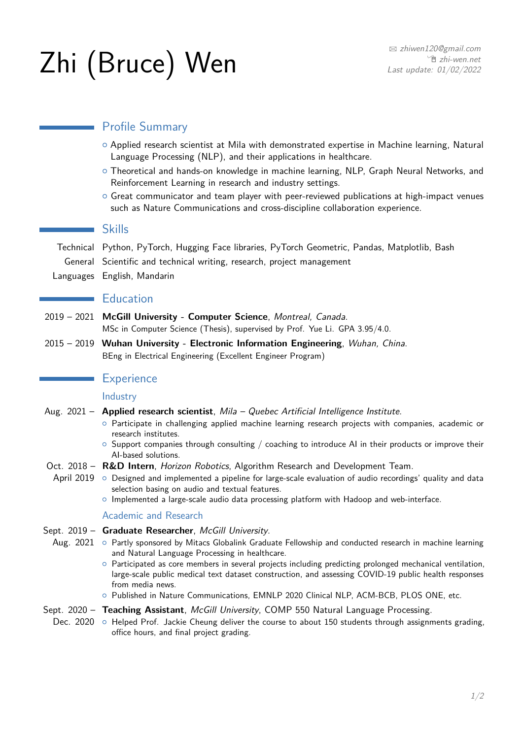# $\mathsf{Zhi}$  (Bruce) Wen Basill Computer  $\sum_{\text{Last update: } 01/02/2022}$

# **Normally** Profile Summary

- { Applied research scientist at Mila with demonstrated expertise in Machine learning, Natural Language Processing (NLP), and their applications in healthcare.
- o Theoretical and hands-on knowledge in machine learning, NLP, Graph Neural Networks, and Reinforcement Learning in research and industry settings.
- $\circ$  Great communicator and team player with peer-reviewed publications at high-impact venues such as Nature Communications and cross-discipline collaboration experience.

## **Skills**

Technical Python, PyTorch, Hugging Face libraries, PyTorch Geometric, Pandas, Matplotlib, Bash General Scientific and technical writing, research, project management Languages English, Mandarin

## **Education**

- 2019 2021 **McGill University Computer Science**, Montreal, Canada. MSc in Computer Science (Thesis), supervised by [Prof. Yue Li.](https://cs.mcgill.ca/~yueli/) GPA 3.95/4.0.
- 2015 2019 **Wuhan University Electronic Information Engineering**, Wuhan, China. BEng in Electrical Engineering (Excellent Engineer Program)

## **Experience**

## **Industry**

- Aug. 2021 **Applied research scientist**, Mila Quebec Artificial Intelligence Institute.
	- { Participate in challenging applied machine learning research projects with companies, academic or research institutes.
	- $\circ$  Support companies through consulting / coaching to introduce AI in their products or improve their AI-based solutions.
- Oct. 2018 R&D Intern, [Horizon Robotics](http://en.horizon.ai/), Algorithm Research and Development Team.
	- April 2019 o Designed and implemented a pipeline for large-scale evaluation of audio recordings' quality and data selection basing on audio and textual features.
		- $\circ$  Implemented a large-scale audio data processing platform with Hadoop and web-interface.

## Academic and Research

- Sept. 2019 **Graduate Researcher**, McGill University.
	- Aug. 2021 o Partly sponsored by Mitacs Globalink Graduate Fellowship and conducted research in machine learning and Natural Language Processing in healthcare.
		- $\circ$  Participated as core members in several projects including predicting prolonged mechanical ventilation, large-scale public medical text dataset construction, and assessing COVID-19 public health responses from media news.
		- { Published in Nature Communications, EMNLP 2020 Clinical NLP, ACM-BCB, PLOS ONE, etc.

#### Sept. 2020 - Teaching Assistant, McGill University, COMP 550 Natural Language Processing.

Dec. 2020 o Helped Prof. Jackie Cheung deliver the course to about 150 students through assignments grading, office hours, and final project grading.